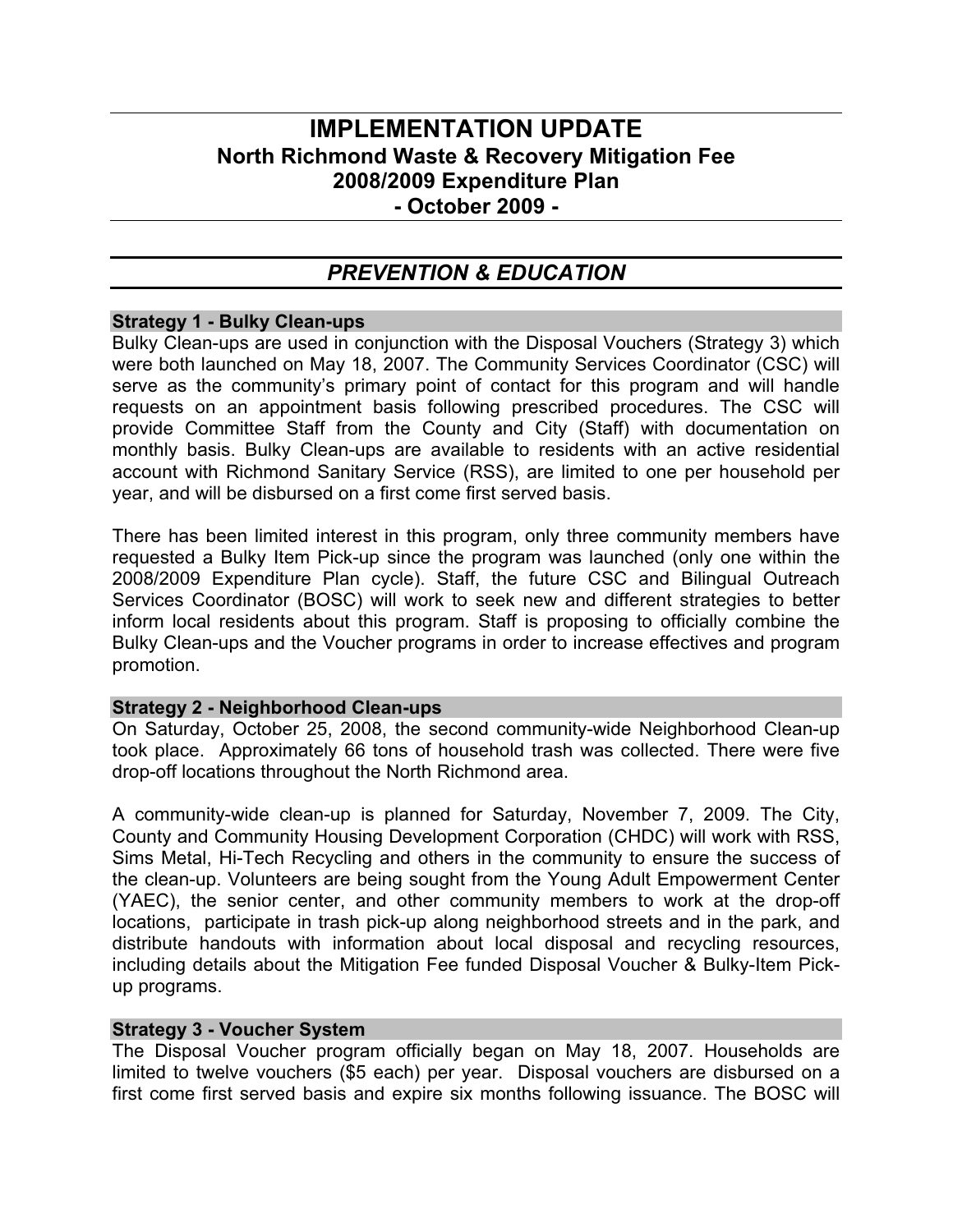# **IMPLEMENTATION UPDATE North Richmond Waste & Recovery Mitigation Fee 2008/2009 Expenditure Plan - October 2009 -**

# *PREVENTION & EDUCATION*

#### **Strategy 1 - Bulky Clean-ups**

Bulky Clean-ups are used in conjunction with the Disposal Vouchers (Strategy 3) which were both launched on May 18, 2007. The Community Services Coordinator (CSC) will serve as the community's primary point of contact for this program and will handle requests on an appointment basis following prescribed procedures. The CSC will provide Committee Staff from the County and City (Staff) with documentation on monthly basis. Bulky Clean-ups are available to residents with an active residential account with Richmond Sanitary Service (RSS), are limited to one per household per year, and will be disbursed on a first come first served basis.

There has been limited interest in this program, only three community members have requested a Bulky Item Pick-up since the program was launched (only one within the 2008/2009 Expenditure Plan cycle). Staff, the future CSC and Bilingual Outreach Services Coordinator (BOSC) will work to seek new and different strategies to better inform local residents about this program. Staff is proposing to officially combine the Bulky Clean-ups and the Voucher programs in order to increase effectives and program promotion.

#### **Strategy 2 - Neighborhood Clean-ups**

On Saturday, October 25, 2008, the second community-wide Neighborhood Clean-up took place. Approximately 66 tons of household trash was collected. There were five drop-off locations throughout the North Richmond area.

A community-wide clean-up is planned for Saturday, November 7, 2009. The City, County and Community Housing Development Corporation (CHDC) will work with RSS, Sims Metal, Hi-Tech Recycling and others in the community to ensure the success of the clean-up. Volunteers are being sought from the Young Adult Empowerment Center (YAEC), the senior center, and other community members to work at the drop-off locations, participate in trash pick-up along neighborhood streets and in the park, and distribute handouts with information about local disposal and recycling resources, including details about the Mitigation Fee funded Disposal Voucher & Bulky-Item Pickup programs.

#### **Strategy 3 - Voucher System**

The Disposal Voucher program officially began on May 18, 2007. Households are limited to twelve vouchers (\$5 each) per year. Disposal vouchers are disbursed on a first come first served basis and expire six months following issuance. The BOSC will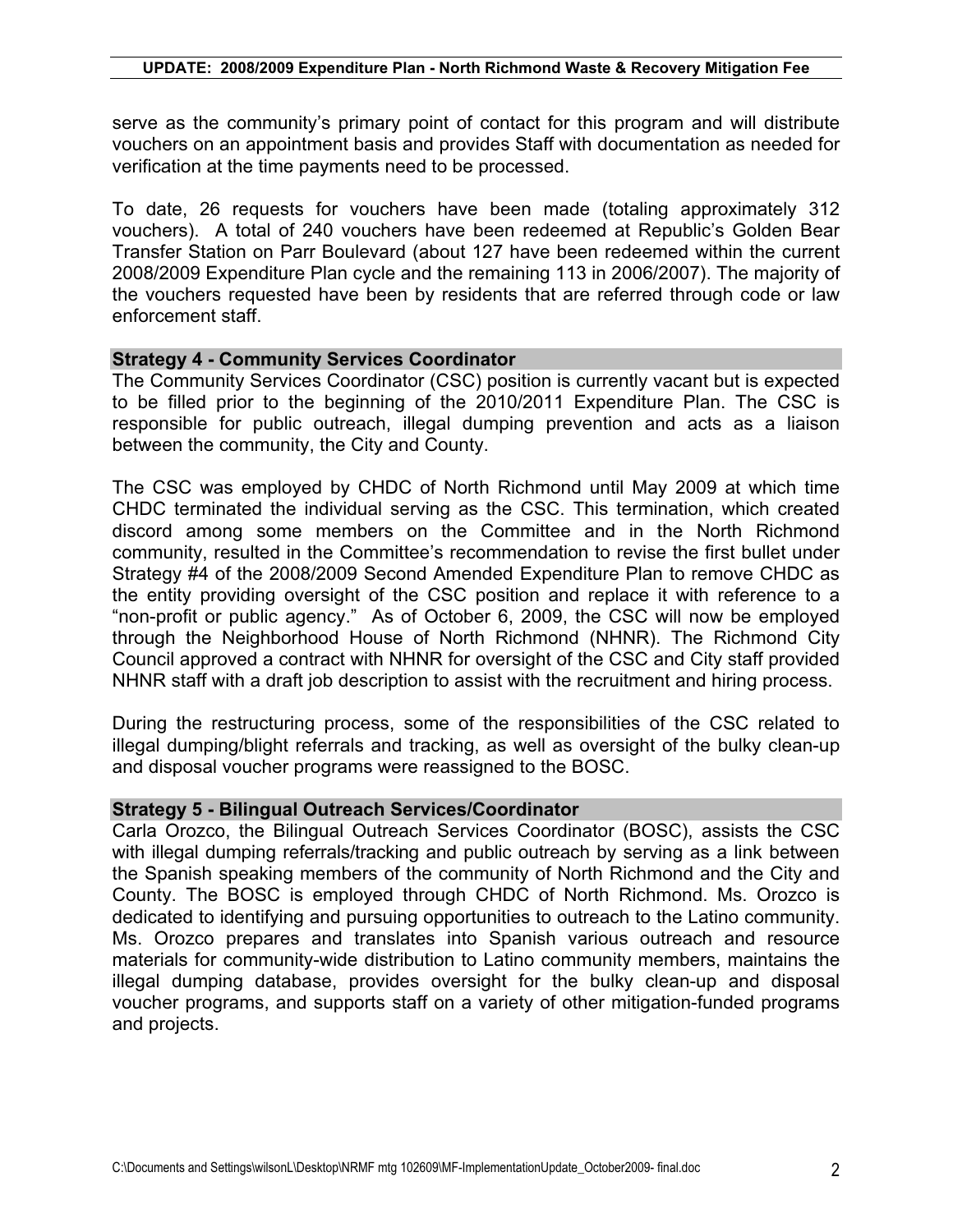serve as the community's primary point of contact for this program and will distribute vouchers on an appointment basis and provides Staff with documentation as needed for verification at the time payments need to be processed.

To date, 26 requests for vouchers have been made (totaling approximately 312 vouchers). A total of 240 vouchers have been redeemed at Republic's Golden Bear Transfer Station on Parr Boulevard (about 127 have been redeemed within the current 2008/2009 Expenditure Plan cycle and the remaining 113 in 2006/2007). The majority of the vouchers requested have been by residents that are referred through code or law enforcement staff.

#### **Strategy 4 - Community Services Coordinator**

The Community Services Coordinator (CSC) position is currently vacant but is expected to be filled prior to the beginning of the 2010/2011 Expenditure Plan. The CSC is responsible for public outreach, illegal dumping prevention and acts as a liaison between the community, the City and County.

The CSC was employed by CHDC of North Richmond until May 2009 at which time CHDC terminated the individual serving as the CSC. This termination, which created discord among some members on the Committee and in the North Richmond community, resulted in the Committee's recommendation to revise the first bullet under Strategy #4 of the 2008/2009 Second Amended Expenditure Plan to remove CHDC as the entity providing oversight of the CSC position and replace it with reference to a "non-profit or public agency." As of October 6, 2009, the CSC will now be employed through the Neighborhood House of North Richmond (NHNR). The Richmond City Council approved a contract with NHNR for oversight of the CSC and City staff provided NHNR staff with a draft job description to assist with the recruitment and hiring process.

During the restructuring process, some of the responsibilities of the CSC related to illegal dumping/blight referrals and tracking, as well as oversight of the bulky clean-up and disposal voucher programs were reassigned to the BOSC.

#### **Strategy 5 - Bilingual Outreach Services/Coordinator**

Carla Orozco, the Bilingual Outreach Services Coordinator (BOSC), assists the CSC with illegal dumping referrals/tracking and public outreach by serving as a link between the Spanish speaking members of the community of North Richmond and the City and County. The BOSC is employed through CHDC of North Richmond. Ms. Orozco is dedicated to identifying and pursuing opportunities to outreach to the Latino community. Ms. Orozco prepares and translates into Spanish various outreach and resource materials for community-wide distribution to Latino community members, maintains the illegal dumping database, provides oversight for the bulky clean-up and disposal voucher programs, and supports staff on a variety of other mitigation-funded programs and projects.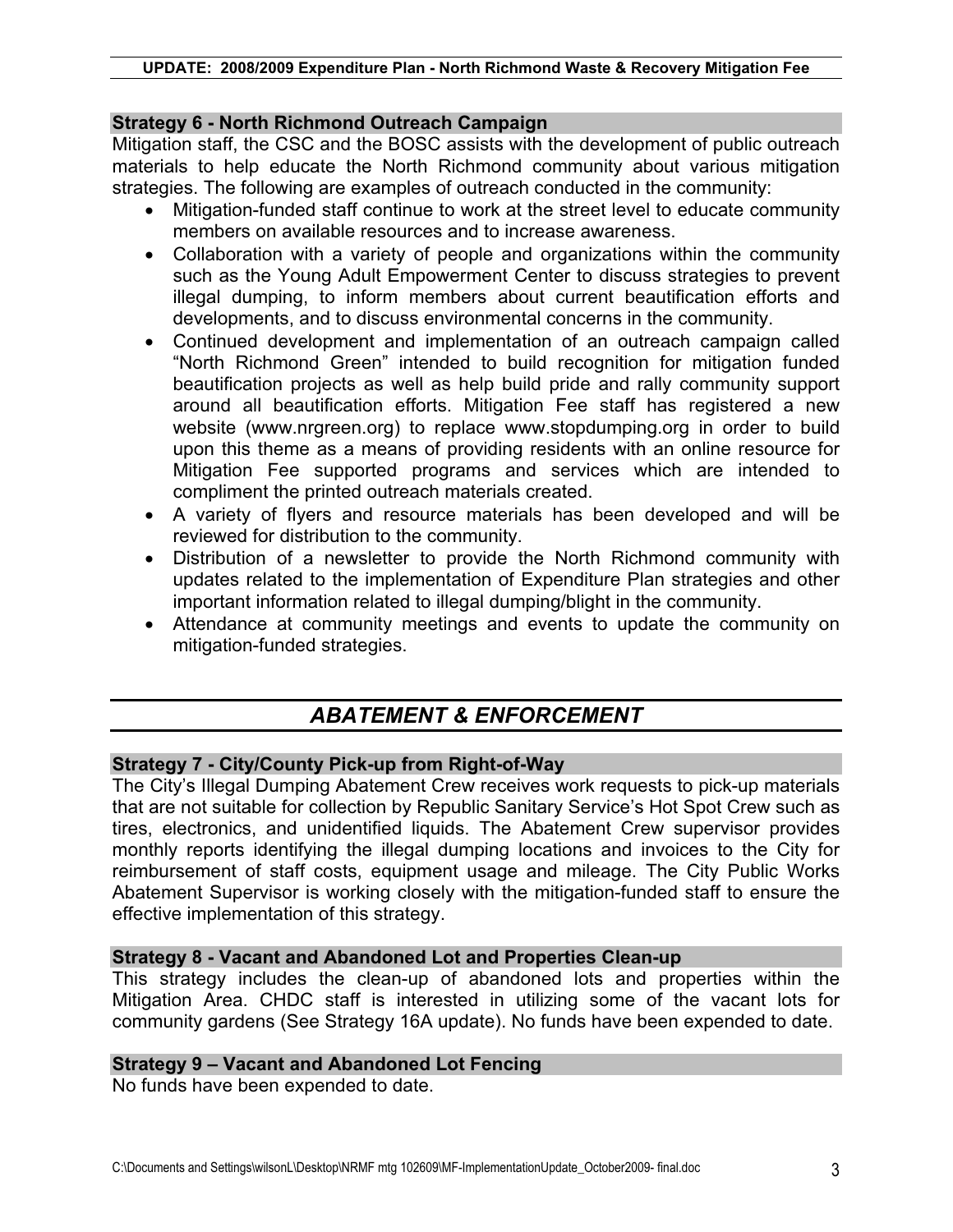## **Strategy 6 - North Richmond Outreach Campaign**

Mitigation staff, the CSC and the BOSC assists with the development of public outreach materials to help educate the North Richmond community about various mitigation strategies. The following are examples of outreach conducted in the community:

- Mitigation-funded staff continue to work at the street level to educate community members on available resources and to increase awareness.
- Collaboration with a variety of people and organizations within the community such as the Young Adult Empowerment Center to discuss strategies to prevent illegal dumping, to inform members about current beautification efforts and developments, and to discuss environmental concerns in the community.
- Continued development and implementation of an outreach campaign called "North Richmond Green" intended to build recognition for mitigation funded beautification projects as well as help build pride and rally community support around all beautification efforts. Mitigation Fee staff has registered a new website (www.nrgreen.org) to replace www.stopdumping.org in order to build upon this theme as a means of providing residents with an online resource for Mitigation Fee supported programs and services which are intended to compliment the printed outreach materials created.
- A variety of flyers and resource materials has been developed and will be reviewed for distribution to the community.
- Distribution of a newsletter to provide the North Richmond community with updates related to the implementation of Expenditure Plan strategies and other important information related to illegal dumping/blight in the community.
- Attendance at community meetings and events to update the community on mitigation-funded strategies.

# *ABATEMENT & ENFORCEMENT*

## **Strategy 7 - City/County Pick-up from Right-of-Way**

The City's Illegal Dumping Abatement Crew receives work requests to pick-up materials that are not suitable for collection by Republic Sanitary Service's Hot Spot Crew such as tires, electronics, and unidentified liquids. The Abatement Crew supervisor provides monthly reports identifying the illegal dumping locations and invoices to the City for reimbursement of staff costs, equipment usage and mileage. The City Public Works Abatement Supervisor is working closely with the mitigation-funded staff to ensure the effective implementation of this strategy.

## **Strategy 8 - Vacant and Abandoned Lot and Properties Clean-up**

This strategy includes the clean-up of abandoned lots and properties within the Mitigation Area. CHDC staff is interested in utilizing some of the vacant lots for community gardens (See Strategy 16A update). No funds have been expended to date.

#### **Strategy 9 – Vacant and Abandoned Lot Fencing**

No funds have been expended to date.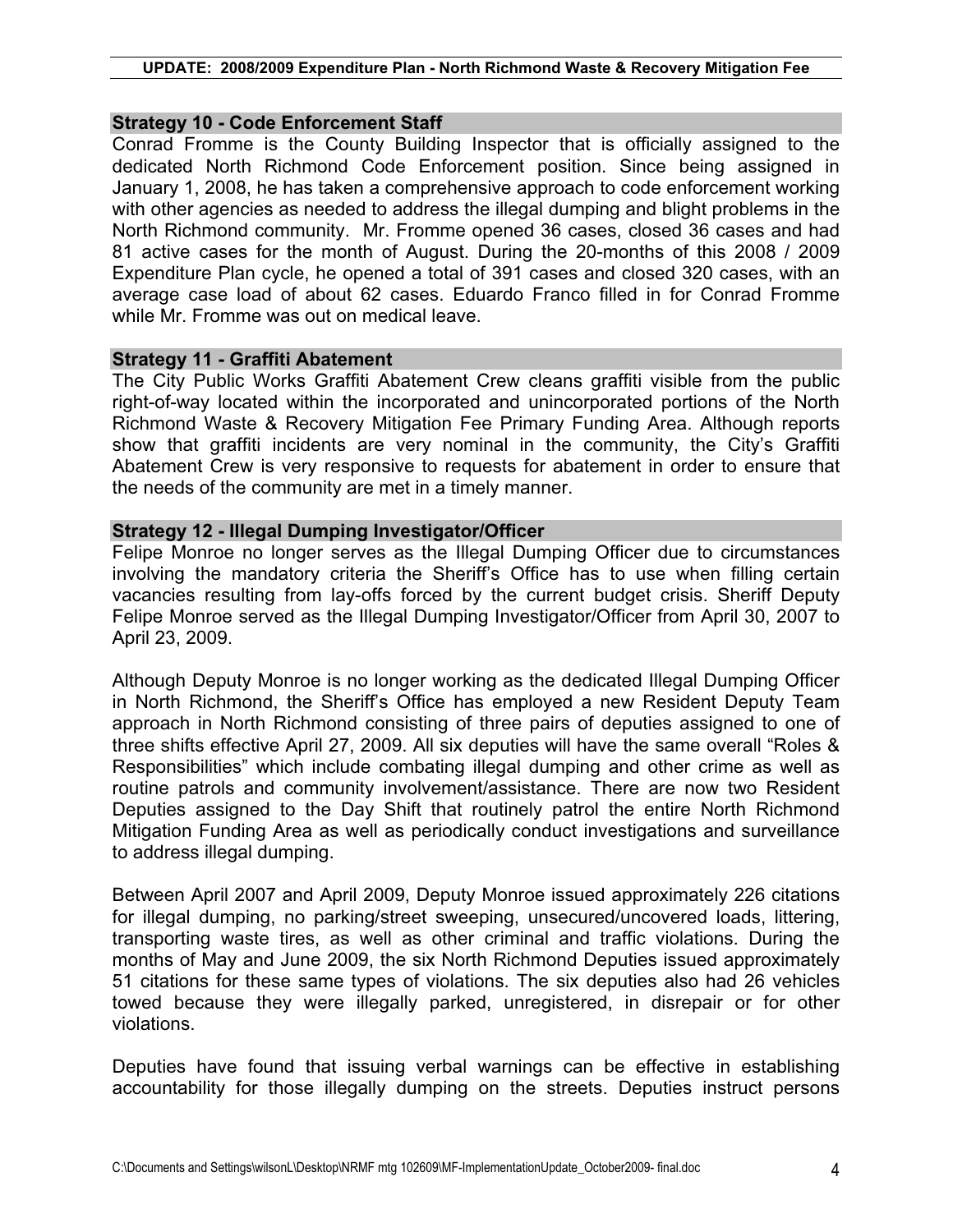#### **UPDATE: 2008/2009 Expenditure Plan - North Richmond Waste & Recovery Mitigation Fee**

#### **Strategy 10 - Code Enforcement Staff**

Conrad Fromme is the County Building Inspector that is officially assigned to the dedicated North Richmond Code Enforcement position. Since being assigned in January 1, 2008, he has taken a comprehensive approach to code enforcement working with other agencies as needed to address the illegal dumping and blight problems in the North Richmond community. Mr. Fromme opened 36 cases, closed 36 cases and had 81 active cases for the month of August. During the 20-months of this 2008 / 2009 Expenditure Plan cycle, he opened a total of 391 cases and closed 320 cases, with an average case load of about 62 cases. Eduardo Franco filled in for Conrad Fromme while Mr. Fromme was out on medical leave.

#### **Strategy 11 - Graffiti Abatement**

The City Public Works Graffiti Abatement Crew cleans graffiti visible from the public right-of-way located within the incorporated and unincorporated portions of the North Richmond Waste & Recovery Mitigation Fee Primary Funding Area. Although reports show that graffiti incidents are very nominal in the community, the City's Graffiti Abatement Crew is very responsive to requests for abatement in order to ensure that the needs of the community are met in a timely manner.

## **Strategy 12 - Illegal Dumping Investigator/Officer**

Felipe Monroe no longer serves as the Illegal Dumping Officer due to circumstances involving the mandatory criteria the Sheriff's Office has to use when filling certain vacancies resulting from lay-offs forced by the current budget crisis. Sheriff Deputy Felipe Monroe served as the Illegal Dumping Investigator/Officer from April 30, 2007 to April 23, 2009.

Although Deputy Monroe is no longer working as the dedicated Illegal Dumping Officer in North Richmond, the Sheriff's Office has employed a new Resident Deputy Team approach in North Richmond consisting of three pairs of deputies assigned to one of three shifts effective April 27, 2009. All six deputies will have the same overall "Roles & Responsibilities" which include combating illegal dumping and other crime as well as routine patrols and community involvement/assistance. There are now two Resident Deputies assigned to the Day Shift that routinely patrol the entire North Richmond Mitigation Funding Area as well as periodically conduct investigations and surveillance to address illegal dumping.

Between April 2007 and April 2009, Deputy Monroe issued approximately 226 citations for illegal dumping, no parking/street sweeping, unsecured/uncovered loads, littering, transporting waste tires, as well as other criminal and traffic violations. During the months of May and June 2009, the six North Richmond Deputies issued approximately 51 citations for these same types of violations. The six deputies also had 26 vehicles towed because they were illegally parked, unregistered, in disrepair or for other violations.

Deputies have found that issuing verbal warnings can be effective in establishing accountability for those illegally dumping on the streets. Deputies instruct persons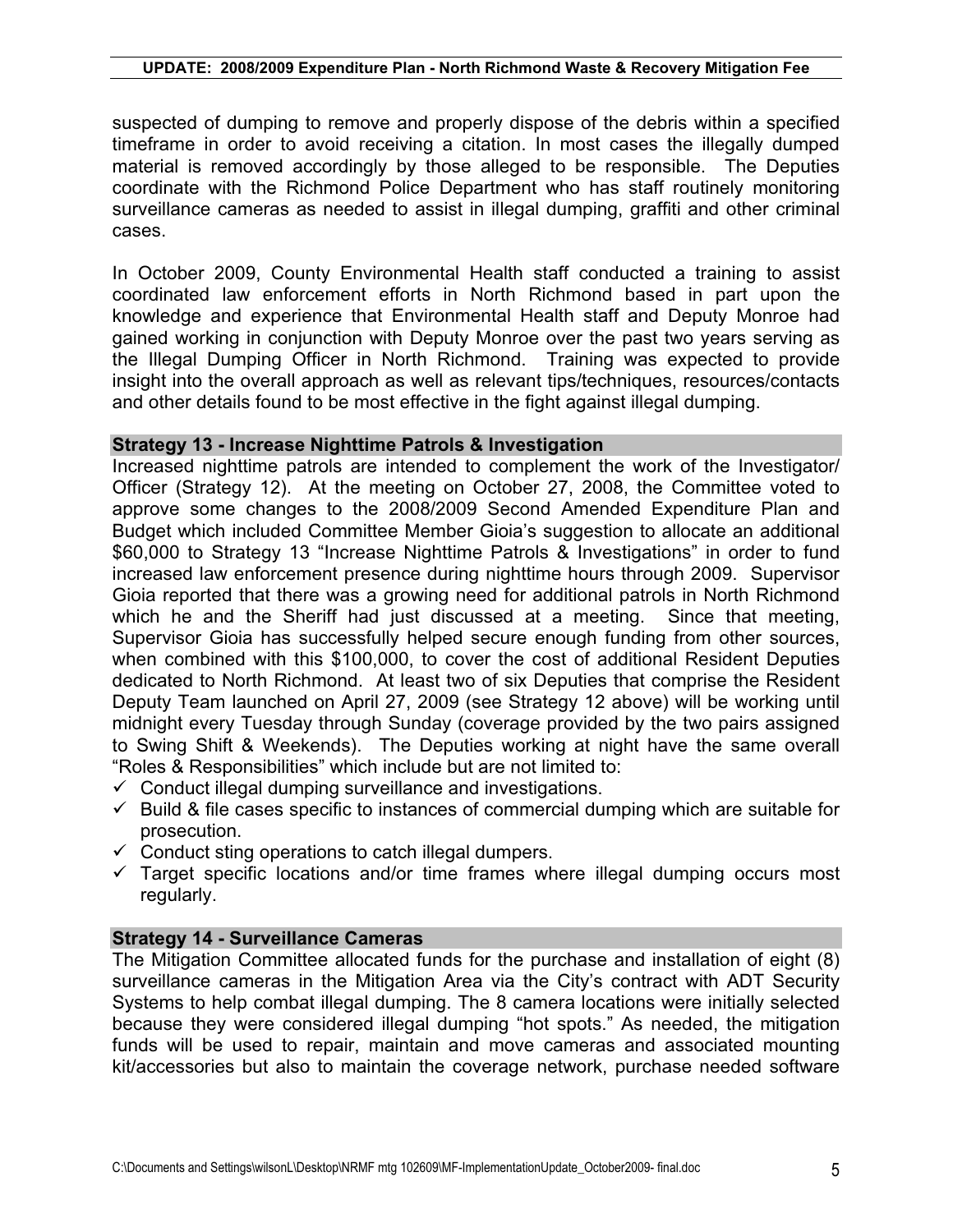#### **UPDATE: 2008/2009 Expenditure Plan - North Richmond Waste & Recovery Mitigation Fee**

suspected of dumping to remove and properly dispose of the debris within a specified timeframe in order to avoid receiving a citation. In most cases the illegally dumped material is removed accordingly by those alleged to be responsible. The Deputies coordinate with the Richmond Police Department who has staff routinely monitoring surveillance cameras as needed to assist in illegal dumping, graffiti and other criminal cases.

In October 2009, County Environmental Health staff conducted a training to assist coordinated law enforcement efforts in North Richmond based in part upon the knowledge and experience that Environmental Health staff and Deputy Monroe had gained working in conjunction with Deputy Monroe over the past two years serving as the Illegal Dumping Officer in North Richmond. Training was expected to provide insight into the overall approach as well as relevant tips/techniques, resources/contacts and other details found to be most effective in the fight against illegal dumping.

#### **Strategy 13 - Increase Nighttime Patrols & Investigation**

Increased nighttime patrols are intended to complement the work of the Investigator/ Officer (Strategy 12). At the meeting on October 27, 2008, the Committee voted to approve some changes to the 2008/2009 Second Amended Expenditure Plan and Budget which included Committee Member Gioia's suggestion to allocate an additional \$60,000 to Strategy 13 "Increase Nighttime Patrols & Investigations" in order to fund increased law enforcement presence during nighttime hours through 2009. Supervisor Gioia reported that there was a growing need for additional patrols in North Richmond which he and the Sheriff had just discussed at a meeting. Since that meeting, Supervisor Gioia has successfully helped secure enough funding from other sources, when combined with this \$100,000, to cover the cost of additional Resident Deputies dedicated to North Richmond. At least two of six Deputies that comprise the Resident Deputy Team launched on April 27, 2009 (see Strategy 12 above) will be working until midnight every Tuesday through Sunday (coverage provided by the two pairs assigned to Swing Shift & Weekends). The Deputies working at night have the same overall "Roles & Responsibilities" which include but are not limited to:

- $\checkmark$  Conduct illegal dumping surveillance and investigations.
- $\checkmark$  Build & file cases specific to instances of commercial dumping which are suitable for prosecution.
- $\checkmark$  Conduct sting operations to catch illegal dumpers.
- $\checkmark$  Target specific locations and/or time frames where illegal dumping occurs most regularly.

#### **Strategy 14 - Surveillance Cameras**

The Mitigation Committee allocated funds for the purchase and installation of eight (8) surveillance cameras in the Mitigation Area via the City's contract with ADT Security Systems to help combat illegal dumping. The 8 camera locations were initially selected because they were considered illegal dumping "hot spots." As needed, the mitigation funds will be used to repair, maintain and move cameras and associated mounting kit/accessories but also to maintain the coverage network, purchase needed software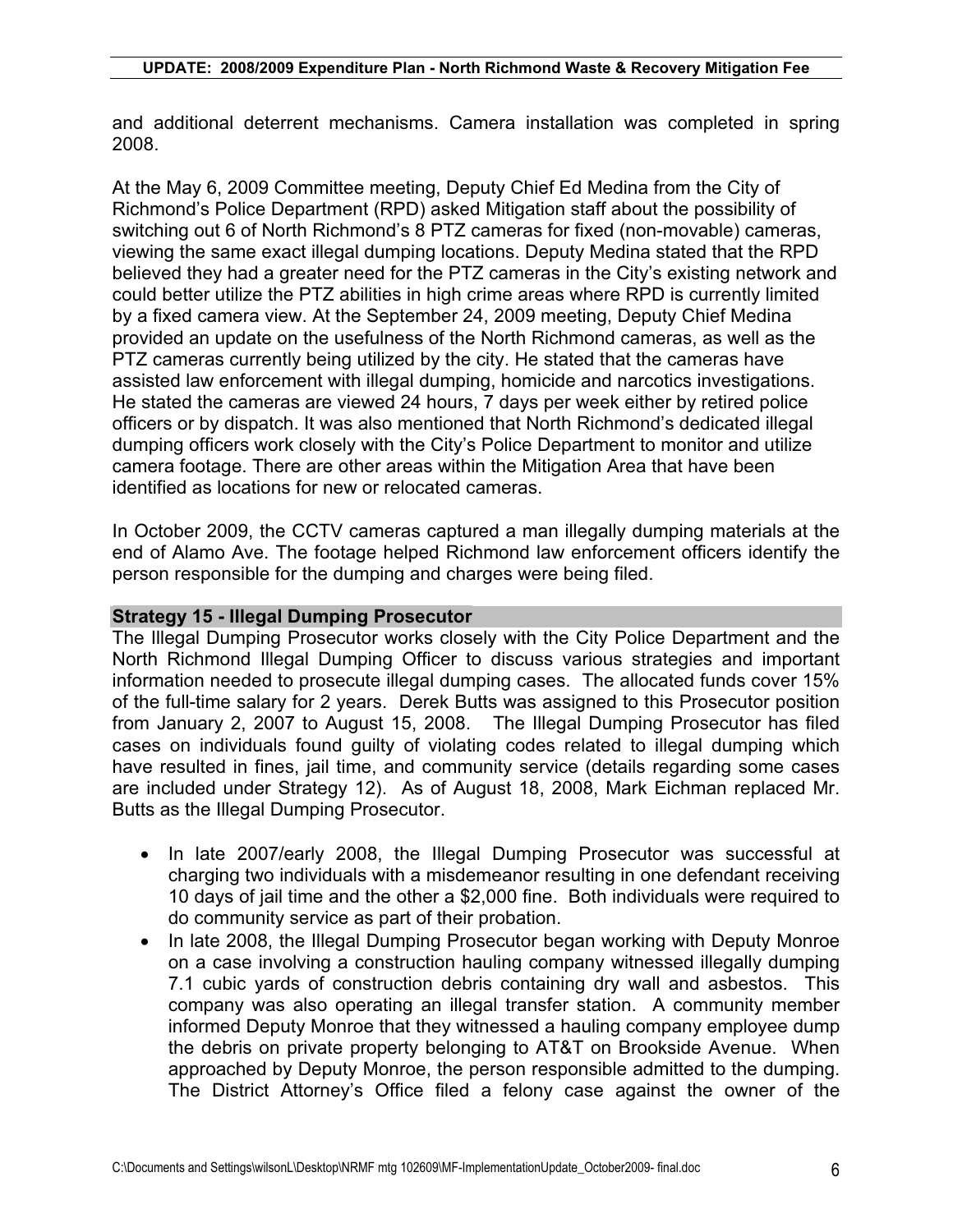and additional deterrent mechanisms. Camera installation was completed in spring 2008.

At the May 6, 2009 Committee meeting, Deputy Chief Ed Medina from the City of Richmond's Police Department (RPD) asked Mitigation staff about the possibility of switching out 6 of North Richmond's 8 PTZ cameras for fixed (non-movable) cameras, viewing the same exact illegal dumping locations. Deputy Medina stated that the RPD believed they had a greater need for the PTZ cameras in the City's existing network and could better utilize the PTZ abilities in high crime areas where RPD is currently limited by a fixed camera view. At the September 24, 2009 meeting, Deputy Chief Medina provided an update on the usefulness of the North Richmond cameras, as well as the PTZ cameras currently being utilized by the city. He stated that the cameras have assisted law enforcement with illegal dumping, homicide and narcotics investigations. He stated the cameras are viewed 24 hours, 7 days per week either by retired police officers or by dispatch. It was also mentioned that North Richmond's dedicated illegal dumping officers work closely with the City's Police Department to monitor and utilize camera footage. There are other areas within the Mitigation Area that have been identified as locations for new or relocated cameras.

In October 2009, the CCTV cameras captured a man illegally dumping materials at the end of Alamo Ave. The footage helped Richmond law enforcement officers identify the person responsible for the dumping and charges were being filed.

#### **Strategy 15 - Illegal Dumping Prosecutor**

The Illegal Dumping Prosecutor works closely with the City Police Department and the North Richmond Illegal Dumping Officer to discuss various strategies and important information needed to prosecute illegal dumping cases. The allocated funds cover 15% of the full-time salary for 2 years. Derek Butts was assigned to this Prosecutor position from January 2, 2007 to August 15, 2008. The Illegal Dumping Prosecutor has filed cases on individuals found guilty of violating codes related to illegal dumping which have resulted in fines, jail time, and community service (details regarding some cases are included under Strategy 12). As of August 18, 2008, Mark Eichman replaced Mr. Butts as the Illegal Dumping Prosecutor.

- In late 2007/early 2008, the Illegal Dumping Prosecutor was successful at charging two individuals with a misdemeanor resulting in one defendant receiving 10 days of jail time and the other a \$2,000 fine. Both individuals were required to do community service as part of their probation.
- In late 2008, the Illegal Dumping Prosecutor began working with Deputy Monroe on a case involving a construction hauling company witnessed illegally dumping 7.1 cubic yards of construction debris containing dry wall and asbestos. This company was also operating an illegal transfer station. A community member informed Deputy Monroe that they witnessed a hauling company employee dump the debris on private property belonging to AT&T on Brookside Avenue. When approached by Deputy Monroe, the person responsible admitted to the dumping. The District Attorney's Office filed a felony case against the owner of the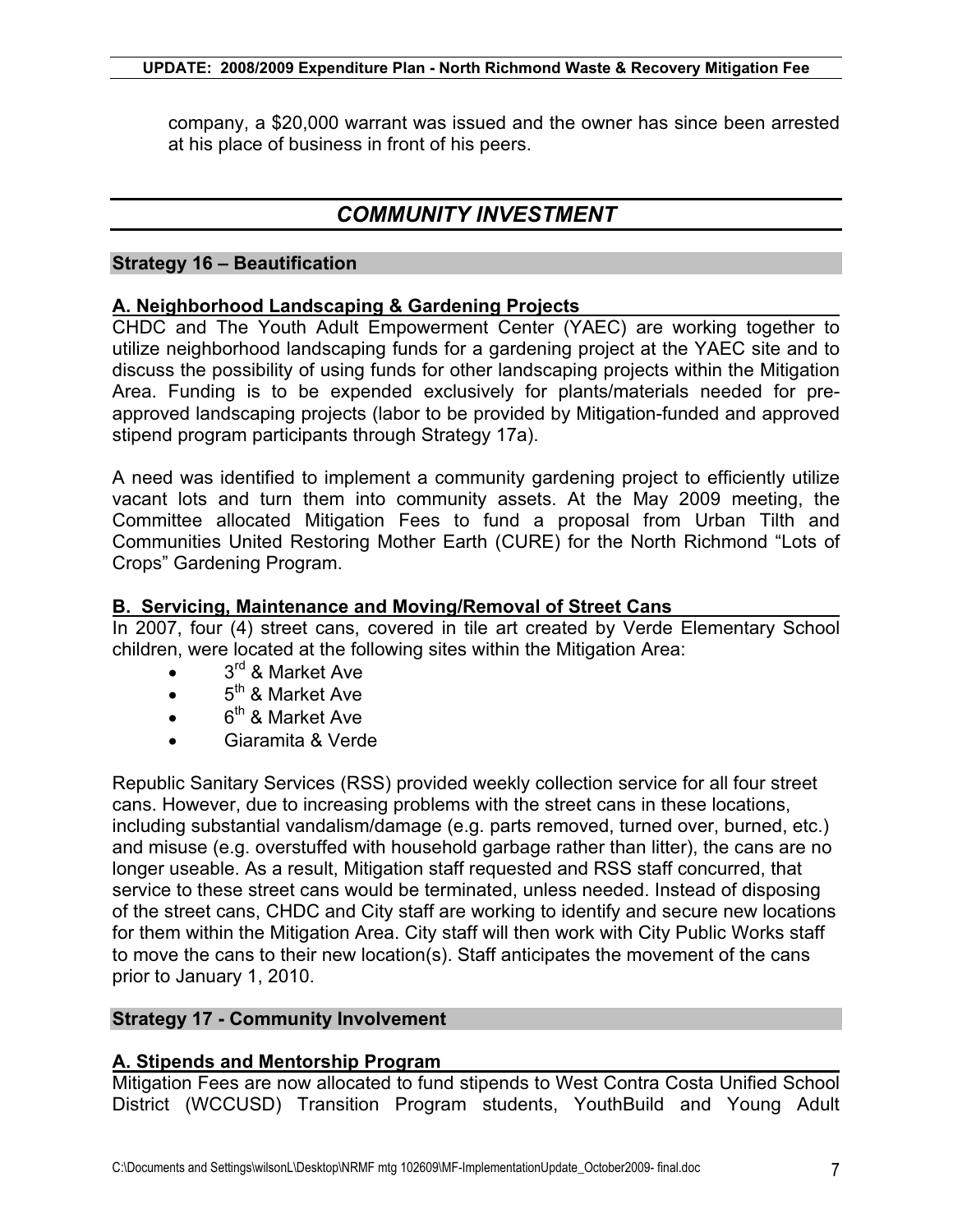company, a \$20,000 warrant was issued and the owner has since been arrested at his place of business in front of his peers.

# *COMMUNITY INVESTMENT*

### **Strategy 16 – Beautification**

### **A. Neighborhood Landscaping & Gardening Projects**

CHDC and The Youth Adult Empowerment Center (YAEC) are working together to utilize neighborhood landscaping funds for a gardening project at the YAEC site and to discuss the possibility of using funds for other landscaping projects within the Mitigation Area. Funding is to be expended exclusively for plants/materials needed for preapproved landscaping projects (labor to be provided by Mitigation-funded and approved stipend program participants through Strategy 17a).

A need was identified to implement a community gardening project to efficiently utilize vacant lots and turn them into community assets. At the May 2009 meeting, the Committee allocated Mitigation Fees to fund a proposal from Urban Tilth and Communities United Restoring Mother Earth (CURE) for the North Richmond "Lots of Crops" Gardening Program.

#### **B. Servicing, Maintenance and Moving/Removal of Street Cans**

In 2007, four (4) street cans, covered in tile art created by Verde Elementary School children, were located at the following sites within the Mitigation Area:

- $\bullet$  3<sup>rd</sup> & Market Ave
- $\bullet$  5<sup>th</sup> & Market Ave
- $\bullet$  6<sup>th</sup> & Market Ave
- Giaramita & Verde

Republic Sanitary Services (RSS) provided weekly collection service for all four street cans. However, due to increasing problems with the street cans in these locations, including substantial vandalism/damage (e.g. parts removed, turned over, burned, etc.) and misuse (e.g. overstuffed with household garbage rather than litter), the cans are no longer useable. As a result, Mitigation staff requested and RSS staff concurred, that service to these street cans would be terminated, unless needed. Instead of disposing of the street cans, CHDC and City staff are working to identify and secure new locations for them within the Mitigation Area. City staff will then work with City Public Works staff to move the cans to their new location(s). Staff anticipates the movement of the cans prior to January 1, 2010.

## **Strategy 17 - Community Involvement**

## **A. Stipends and Mentorship Program**

Mitigation Fees are now allocated to fund stipends to West Contra Costa Unified School District (WCCUSD) Transition Program students, YouthBuild and Young Adult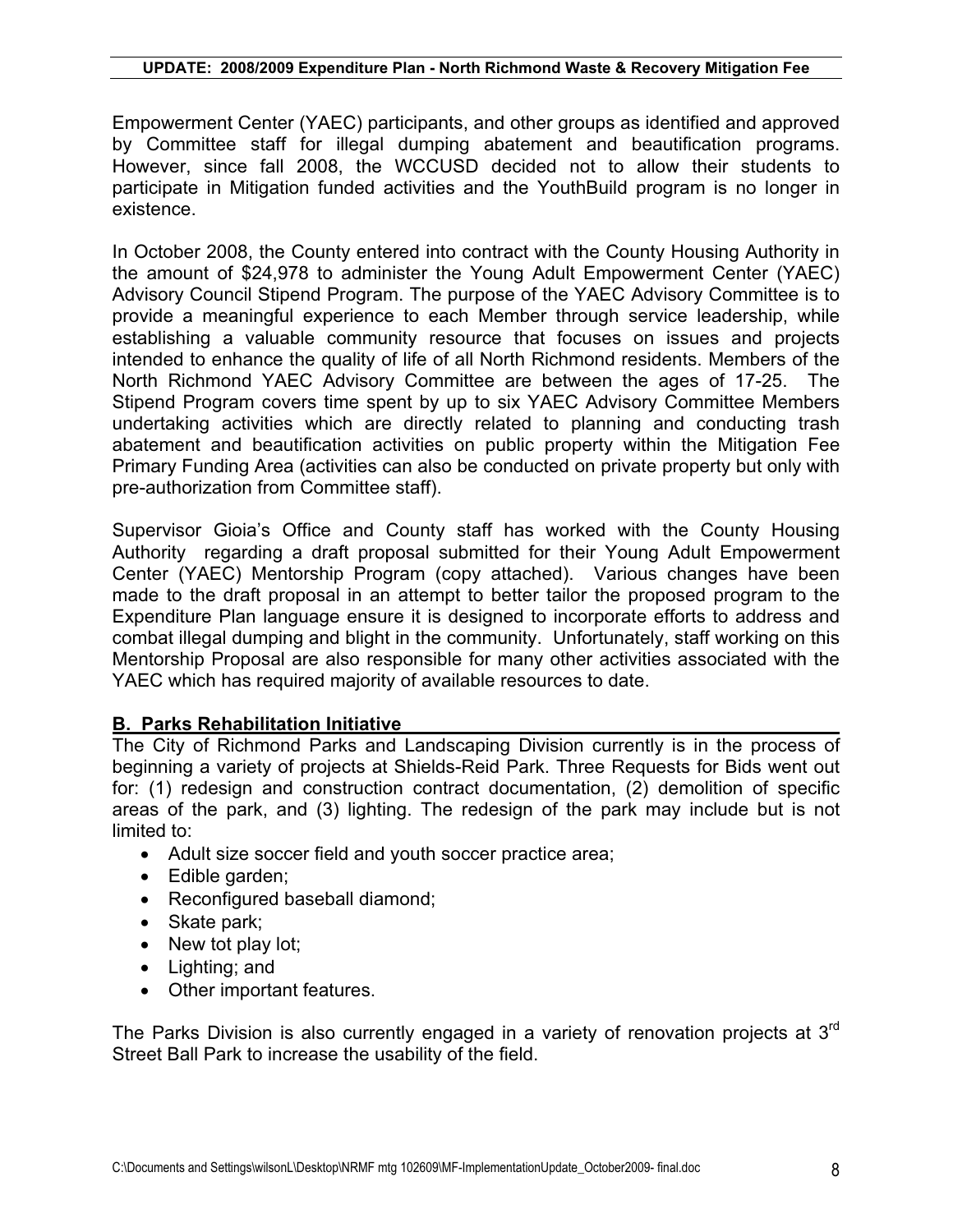Empowerment Center (YAEC) participants, and other groups as identified and approved by Committee staff for illegal dumping abatement and beautification programs. However, since fall 2008, the WCCUSD decided not to allow their students to participate in Mitigation funded activities and the YouthBuild program is no longer in existence.

In October 2008, the County entered into contract with the County Housing Authority in the amount of \$24,978 to administer the Young Adult Empowerment Center (YAEC) Advisory Council Stipend Program. The purpose of the YAEC Advisory Committee is to provide a meaningful experience to each Member through service leadership, while establishing a valuable community resource that focuses on issues and projects intended to enhance the quality of life of all North Richmond residents. Members of the North Richmond YAEC Advisory Committee are between the ages of 17-25. The Stipend Program covers time spent by up to six YAEC Advisory Committee Members undertaking activities which are directly related to planning and conducting trash abatement and beautification activities on public property within the Mitigation Fee Primary Funding Area (activities can also be conducted on private property but only with pre-authorization from Committee staff).

Supervisor Gioia's Office and County staff has worked with the County Housing Authority regarding a draft proposal submitted for their Young Adult Empowerment Center (YAEC) Mentorship Program (copy attached). Various changes have been made to the draft proposal in an attempt to better tailor the proposed program to the Expenditure Plan language ensure it is designed to incorporate efforts to address and combat illegal dumping and blight in the community. Unfortunately, staff working on this Mentorship Proposal are also responsible for many other activities associated with the YAEC which has required majority of available resources to date.

## **B. Parks Rehabilitation Initiative**

The City of Richmond Parks and Landscaping Division currently is in the process of beginning a variety of projects at Shields-Reid Park. Three Requests for Bids went out for: (1) redesign and construction contract documentation, (2) demolition of specific areas of the park, and (3) lighting. The redesign of the park may include but is not limited to:

- Adult size soccer field and youth soccer practice area;
- $\bullet$  Edible garden;
- Reconfigured baseball diamond:
- $\bullet$  Skate park;
- $\bullet$  New tot play lot;
- $\bullet$  Lighting; and
- Other important features.

The Parks Division is also currently engaged in a variety of renovation projects at 3<sup>rd</sup> Street Ball Park to increase the usability of the field.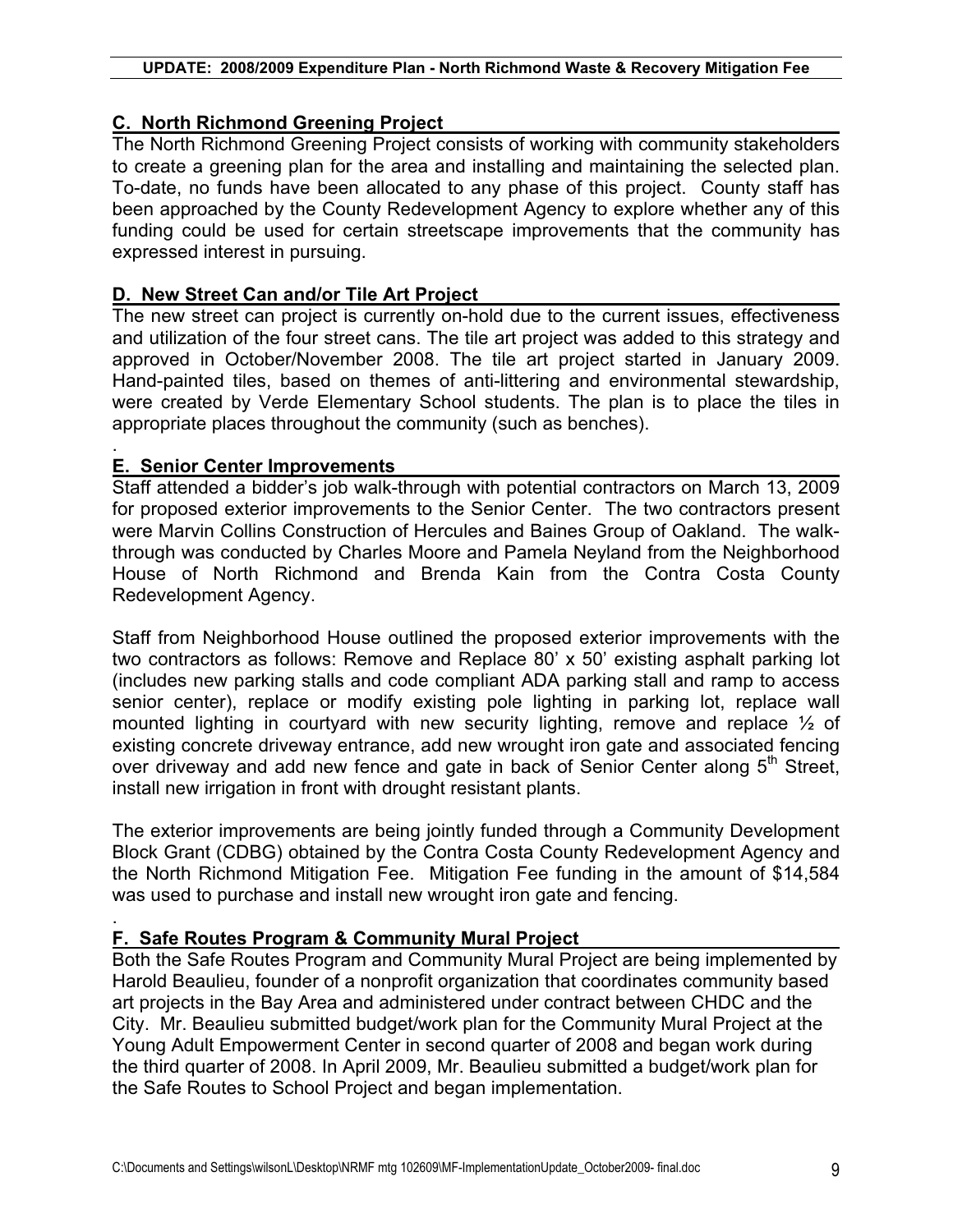#### **UPDATE: 2008/2009 Expenditure Plan - North Richmond Waste & Recovery Mitigation Fee**

## **C. North Richmond Greening Project**

The North Richmond Greening Project consists of working with community stakeholders to create a greening plan for the area and installing and maintaining the selected plan. To-date, no funds have been allocated to any phase of this project. County staff has been approached by the County Redevelopment Agency to explore whether any of this funding could be used for certain streetscape improvements that the community has expressed interest in pursuing.

## **D. New Street Can and/or Tile Art Project**

The new street can project is currently on-hold due to the current issues, effectiveness and utilization of the four street cans. The tile art project was added to this strategy and approved in October/November 2008. The tile art project started in January 2009. Hand-painted tiles, based on themes of anti-littering and environmental stewardship, were created by Verde Elementary School students. The plan is to place the tiles in appropriate places throughout the community (such as benches).

#### . **E. Senior Center Improvements**

Staff attended a bidder's job walk-through with potential contractors on March 13, 2009 for proposed exterior improvements to the Senior Center. The two contractors present were Marvin Collins Construction of Hercules and Baines Group of Oakland. The walkthrough was conducted by Charles Moore and Pamela Neyland from the Neighborhood House of North Richmond and Brenda Kain from the Contra Costa County Redevelopment Agency.

Staff from Neighborhood House outlined the proposed exterior improvements with the two contractors as follows: Remove and Replace 80' x 50' existing asphalt parking lot (includes new parking stalls and code compliant ADA parking stall and ramp to access senior center), replace or modify existing pole lighting in parking lot, replace wall mounted lighting in courtyard with new security lighting, remove and replace ½ of existing concrete driveway entrance, add new wrought iron gate and associated fencing over driveway and add new fence and gate in back of Senior Center along  $5<sup>th</sup>$  Street, install new irrigation in front with drought resistant plants.

The exterior improvements are being jointly funded through a Community Development Block Grant (CDBG) obtained by the Contra Costa County Redevelopment Agency and the North Richmond Mitigation Fee. Mitigation Fee funding in the amount of \$14,584 was used to purchase and install new wrought iron gate and fencing.

#### . **F. Safe Routes Program & Community Mural Project**

Both the Safe Routes Program and Community Mural Project are being implemented by Harold Beaulieu, founder of a nonprofit organization that coordinates community based art projects in the Bay Area and administered under contract between CHDC and the City. Mr. Beaulieu submitted budget/work plan for the Community Mural Project at the Young Adult Empowerment Center in second quarter of 2008 and began work during the third quarter of 2008. In April 2009, Mr. Beaulieu submitted a budget/work plan for the Safe Routes to School Project and began implementation.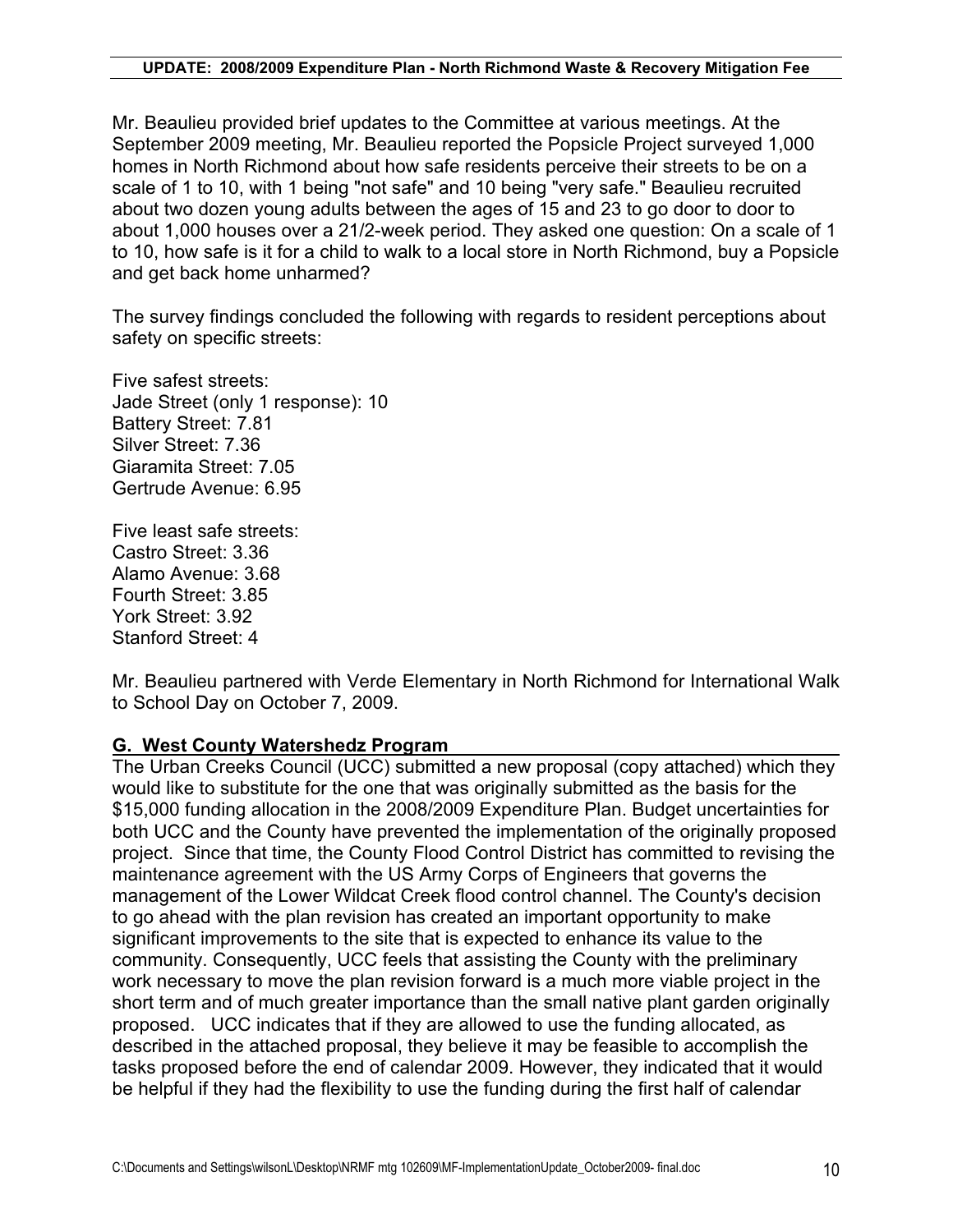Mr. Beaulieu provided brief updates to the Committee at various meetings. At the September 2009 meeting, Mr. Beaulieu reported the Popsicle Project surveyed 1,000 homes in North Richmond about how safe residents perceive their streets to be on a scale of 1 to 10, with 1 being "not safe" and 10 being "very safe." Beaulieu recruited about two dozen young adults between the ages of 15 and 23 to go door to door to about 1,000 houses over a 21/2-week period. They asked one question: On a scale of 1 to 10, how safe is it for a child to walk to a local store in North Richmond, buy a Popsicle and get back home unharmed?

The survey findings concluded the following with regards to resident perceptions about safety on specific streets:

Five safest streets: Jade Street (only 1 response): 10 Battery Street: 7.81 Silver Street: 7.36 Giaramita Street: 7.05 Gertrude Avenue: 6.95

Five least safe streets: Castro Street: 3.36 Alamo Avenue: 3.68 Fourth Street: 3.85 York Street: 3.92 Stanford Street: 4

Mr. Beaulieu partnered with Verde Elementary in North Richmond for International Walk to School Day on October 7, 2009.

## **G. West County Watershedz Program**

The Urban Creeks Council (UCC) submitted a new proposal (copy attached) which they would like to substitute for the one that was originally submitted as the basis for the \$15,000 funding allocation in the 2008/2009 Expenditure Plan. Budget uncertainties for both UCC and the County have prevented the implementation of the originally proposed project. Since that time, the County Flood Control District has committed to revising the maintenance agreement with the US Army Corps of Engineers that governs the management of the Lower Wildcat Creek flood control channel. The County's decision to go ahead with the plan revision has created an important opportunity to make significant improvements to the site that is expected to enhance its value to the community. Consequently, UCC feels that assisting the County with the preliminary work necessary to move the plan revision forward is a much more viable project in the short term and of much greater importance than the small native plant garden originally proposed. UCC indicates that if they are allowed to use the funding allocated, as described in the attached proposal, they believe it may be feasible to accomplish the tasks proposed before the end of calendar 2009. However, they indicated that it would be helpful if they had the flexibility to use the funding during the first half of calendar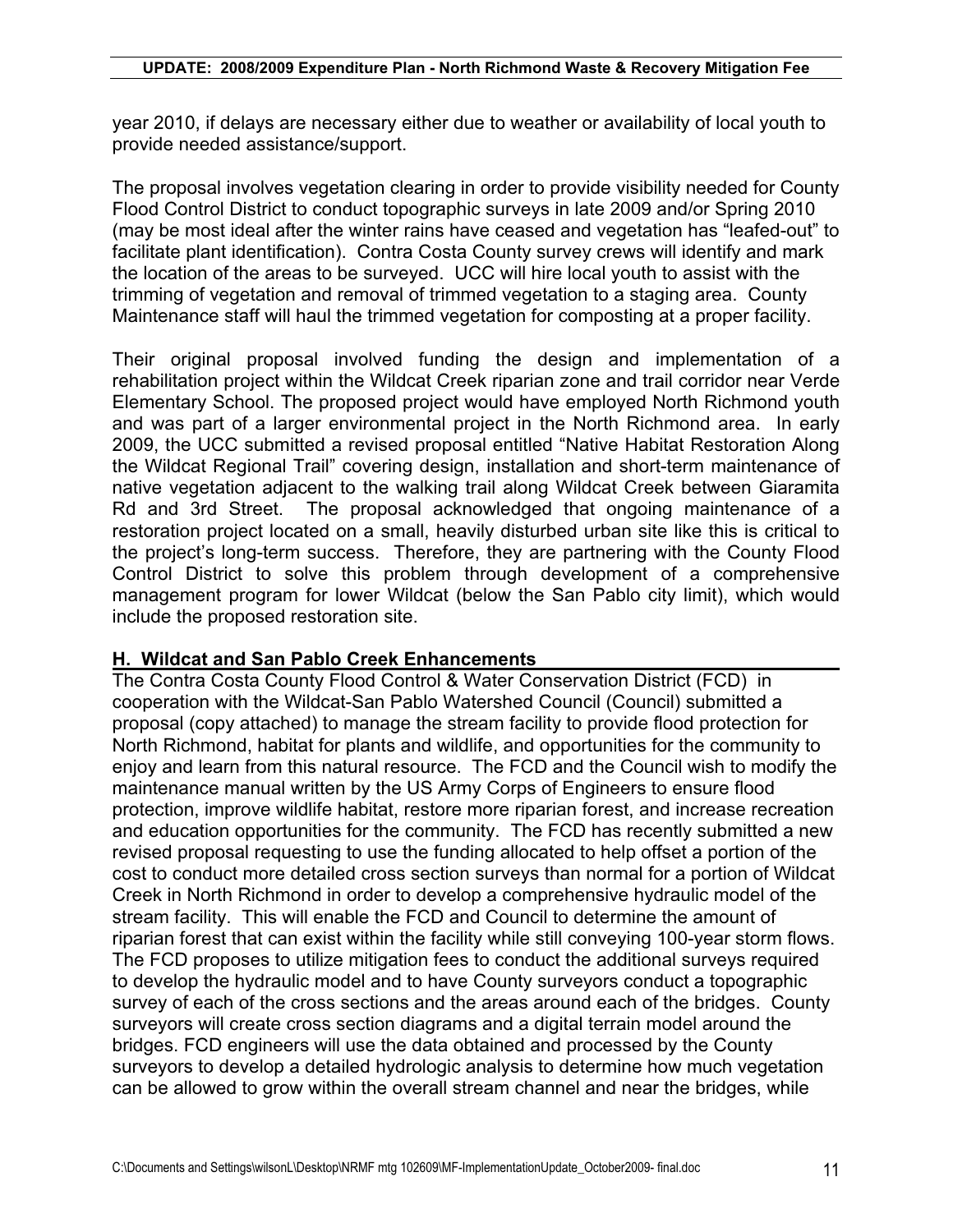year 2010, if delays are necessary either due to weather or availability of local youth to provide needed assistance/support.

The proposal involves vegetation clearing in order to provide visibility needed for County Flood Control District to conduct topographic surveys in late 2009 and/or Spring 2010 (may be most ideal after the winter rains have ceased and vegetation has "leafed-out" to facilitate plant identification). Contra Costa County survey crews will identify and mark the location of the areas to be surveyed. UCC will hire local youth to assist with the trimming of vegetation and removal of trimmed vegetation to a staging area. County Maintenance staff will haul the trimmed vegetation for composting at a proper facility.

Their original proposal involved funding the design and implementation of a rehabilitation project within the Wildcat Creek riparian zone and trail corridor near Verde Elementary School. The proposed project would have employed North Richmond youth and was part of a larger environmental project in the North Richmond area. In early 2009, the UCC submitted a revised proposal entitled "Native Habitat Restoration Along the Wildcat Regional Trail" covering design, installation and short-term maintenance of native vegetation adjacent to the walking trail along Wildcat Creek between Giaramita Rd and 3rd Street. The proposal acknowledged that ongoing maintenance of a restoration project located on a small, heavily disturbed urban site like this is critical to the project's long-term success. Therefore, they are partnering with the County Flood Control District to solve this problem through development of a comprehensive management program for lower Wildcat (below the San Pablo city limit), which would include the proposed restoration site.

## **H. Wildcat and San Pablo Creek Enhancements**

The Contra Costa County Flood Control & Water Conservation District (FCD) in cooperation with the Wildcat-San Pablo Watershed Council (Council) submitted a proposal (copy attached) to manage the stream facility to provide flood protection for North Richmond, habitat for plants and wildlife, and opportunities for the community to enjoy and learn from this natural resource. The FCD and the Council wish to modify the maintenance manual written by the US Army Corps of Engineers to ensure flood protection, improve wildlife habitat, restore more riparian forest, and increase recreation and education opportunities for the community. The FCD has recently submitted a new revised proposal requesting to use the funding allocated to help offset a portion of the cost to conduct more detailed cross section surveys than normal for a portion of Wildcat Creek in North Richmond in order to develop a comprehensive hydraulic model of the stream facility. This will enable the FCD and Council to determine the amount of riparian forest that can exist within the facility while still conveying 100-year storm flows. The FCD proposes to utilize mitigation fees to conduct the additional surveys required to develop the hydraulic model and to have County surveyors conduct a topographic survey of each of the cross sections and the areas around each of the bridges. County surveyors will create cross section diagrams and a digital terrain model around the bridges. FCD engineers will use the data obtained and processed by the County surveyors to develop a detailed hydrologic analysis to determine how much vegetation can be allowed to grow within the overall stream channel and near the bridges, while